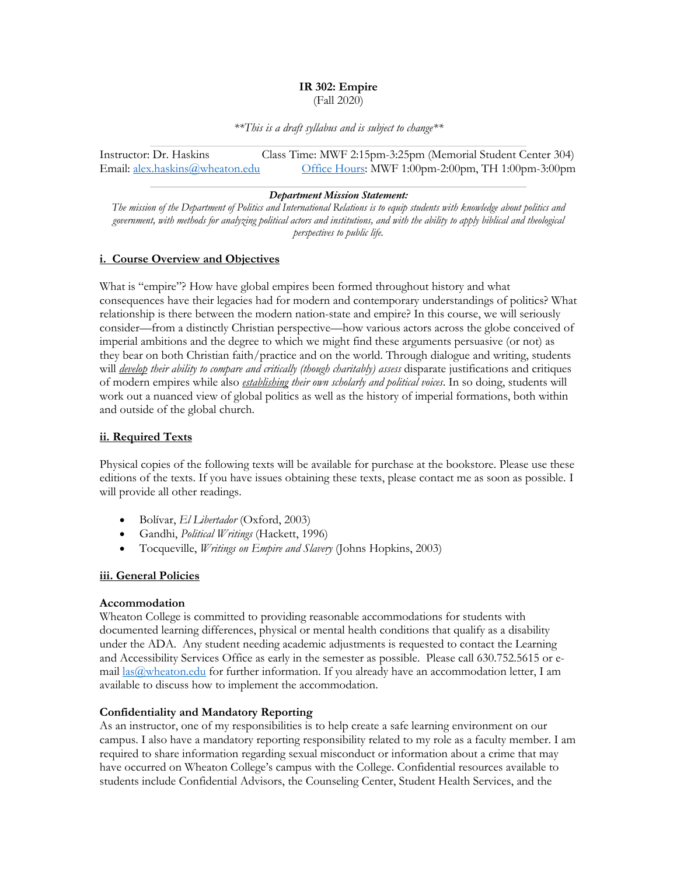#### **IR 302: Empire** (Fall 2020)

*\*\*This is a draft syllabus and is subject to change\*\**

Instructor: Dr. Haskins Class Time: MWF 2:15pm-3:25pm (Memorial Student Center 304) Email: alex.haskins@wheaton.edu Office Hours: MWF 1:00pm-2:00pm, TH 1:00pm-3:00pm

#### *Department Mission Statement:*

*The mission of the Department of Politics and International Relations is to equip students with knowledge about politics and government, with methods for analyzing political actors and institutions, and with the ability to apply biblical and theological perspectives to public life.*

## **i. Course Overview and Objectives**

What is "empire"? How have global empires been formed throughout history and what consequences have their legacies had for modern and contemporary understandings of politics? What relationship is there between the modern nation-state and empire? In this course, we will seriously consider—from a distinctly Christian perspective—how various actors across the globe conceived of imperial ambitions and the degree to which we might find these arguments persuasive (or not) as they bear on both Christian faith/practice and on the world. Through dialogue and writing, students will *develop their ability to compare and critically (though charitably) assess* disparate justifications and critiques of modern empires while also *establishing their own scholarly and political voices*. In so doing, students will work out a nuanced view of global politics as well as the history of imperial formations, both within and outside of the global church.

## **ii. Required Texts**

Physical copies of the following texts will be available for purchase at the bookstore. Please use these editions of the texts. If you have issues obtaining these texts, please contact me as soon as possible. I will provide all other readings.

- Bolívar, *El Libertador* (Oxford, 2003)
- Gandhi, *Political Writings* (Hackett, 1996)
- Tocqueville, *Writings on Empire and Slavery* (Johns Hopkins, 2003)

## **iii. General Policies**

#### **Accommodation**

Wheaton College is committed to providing reasonable accommodations for students with documented learning differences, physical or mental health conditions that qualify as a disability under the ADA. Any student needing academic adjustments is requested to contact the Learning and Accessibility Services Office as early in the semester as possible. Please call 630.752.5615 or email las@wheaton.edu for further information. If you already have an accommodation letter, I am available to discuss how to implement the accommodation.

## **Confidentiality and Mandatory Reporting**

As an instructor, one of my responsibilities is to help create a safe learning environment on our campus. I also have a mandatory reporting responsibility related to my role as a faculty member. I am required to share information regarding sexual misconduct or information about a crime that may have occurred on Wheaton College's campus with the College. Confidential resources available to students include Confidential Advisors, the Counseling Center, Student Health Services, and the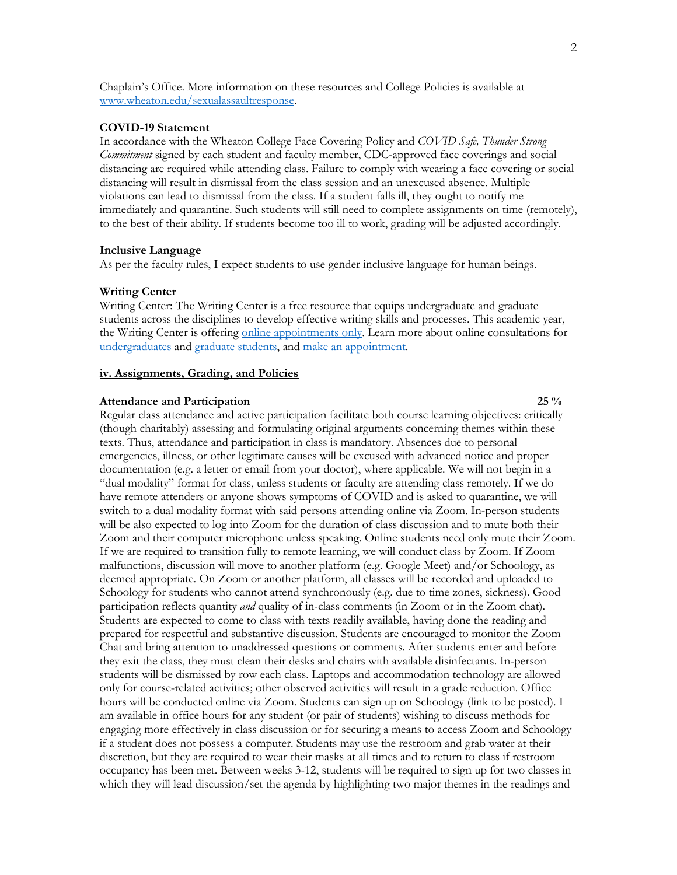Chaplain's Office. More information on these resources and College Policies is available at www.wheaton.edu/sexualassaultresponse.

#### **COVID-19 Statement**

In accordance with the Wheaton College Face Covering Policy and *COVID Safe, Thunder Strong Commitment* signed by each student and faculty member, CDC-approved face coverings and social distancing are required while attending class. Failure to comply with wearing a face covering or social distancing will result in dismissal from the class session and an unexcused absence. Multiple violations can lead to dismissal from the class. If a student falls ill, they ought to notify me immediately and quarantine. Such students will still need to complete assignments on time (remotely), to the best of their ability. If students become too ill to work, grading will be adjusted accordingly.

#### **Inclusive Language**

As per the faculty rules, I expect students to use gender inclusive language for human beings.

#### **Writing Center**

Writing Center: The Writing Center is a free resource that equips undergraduate and graduate students across the disciplines to develop effective writing skills and processes. This academic year, the Writing Center is offering online appointments only. Learn more about online consultations for undergraduates and graduate students, and make an appointment.

#### **iv. Assignments, Grading, and Policies**

## **Attendance and Participation 25 %**

Regular class attendance and active participation facilitate both course learning objectives: critically (though charitably) assessing and formulating original arguments concerning themes within these texts. Thus, attendance and participation in class is mandatory. Absences due to personal emergencies, illness, or other legitimate causes will be excused with advanced notice and proper documentation (e.g. a letter or email from your doctor), where applicable. We will not begin in a "dual modality" format for class, unless students or faculty are attending class remotely. If we do have remote attenders or anyone shows symptoms of COVID and is asked to quarantine, we will switch to a dual modality format with said persons attending online via Zoom. In-person students will be also expected to log into Zoom for the duration of class discussion and to mute both their Zoom and their computer microphone unless speaking. Online students need only mute their Zoom. If we are required to transition fully to remote learning, we will conduct class by Zoom. If Zoom malfunctions, discussion will move to another platform (e.g. Google Meet) and/or Schoology, as deemed appropriate. On Zoom or another platform, all classes will be recorded and uploaded to Schoology for students who cannot attend synchronously (e.g. due to time zones, sickness). Good participation reflects quantity *and* quality of in-class comments (in Zoom or in the Zoom chat). Students are expected to come to class with texts readily available, having done the reading and prepared for respectful and substantive discussion. Students are encouraged to monitor the Zoom Chat and bring attention to unaddressed questions or comments. After students enter and before they exit the class, they must clean their desks and chairs with available disinfectants. In-person students will be dismissed by row each class. Laptops and accommodation technology are allowed only for course-related activities; other observed activities will result in a grade reduction. Office hours will be conducted online via Zoom. Students can sign up on Schoology (link to be posted). I am available in office hours for any student (or pair of students) wishing to discuss methods for engaging more effectively in class discussion or for securing a means to access Zoom and Schoology if a student does not possess a computer. Students may use the restroom and grab water at their discretion, but they are required to wear their masks at all times and to return to class if restroom occupancy has been met. Between weeks 3-12, students will be required to sign up for two classes in which they will lead discussion/set the agenda by highlighting two major themes in the readings and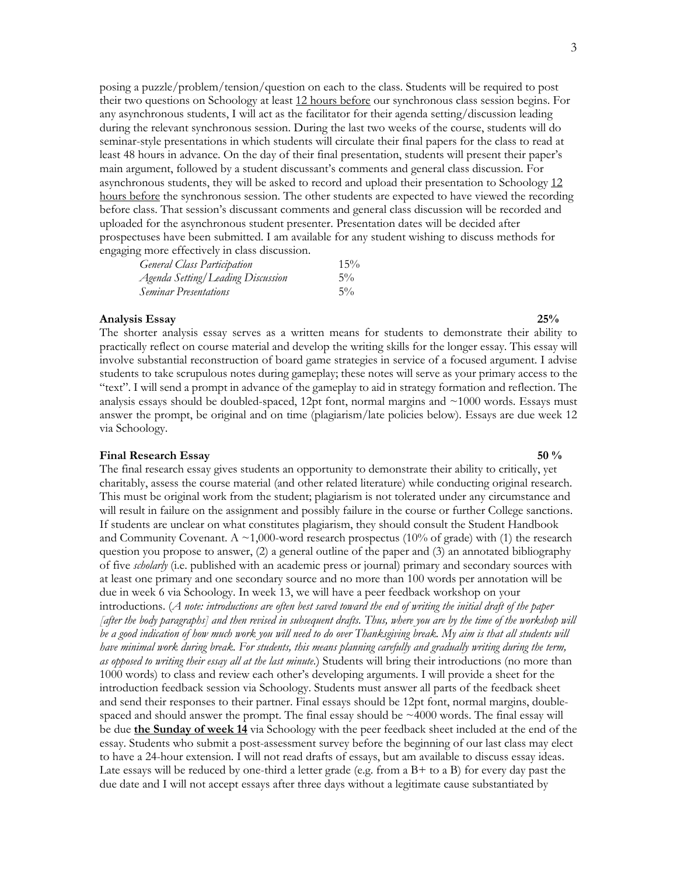posing a puzzle/problem/tension/question on each to the class. Students will be required to post their two questions on Schoology at least 12 hours before our synchronous class session begins. For any asynchronous students, I will act as the facilitator for their agenda setting/discussion leading during the relevant synchronous session. During the last two weeks of the course, students will do seminar-style presentations in which students will circulate their final papers for the class to read at least 48 hours in advance. On the day of their final presentation, students will present their paper's main argument, followed by a student discussant's comments and general class discussion. For asynchronous students, they will be asked to record and upload their presentation to Schoology 12 hours before the synchronous session. The other students are expected to have viewed the recording before class. That session's discussant comments and general class discussion will be recorded and uploaded for the asynchronous student presenter. Presentation dates will be decided after prospectuses have been submitted. I am available for any student wishing to discuss methods for engaging more effectively in class discussion.

| <b>General Class Participation</b> | 15%   |
|------------------------------------|-------|
| Agenda Setting/Leading Discussion  | $5\%$ |
| <b>Seminar Presentations</b>       | $5\%$ |

#### **Analysis Essay 25%**

The shorter analysis essay serves as a written means for students to demonstrate their ability to practically reflect on course material and develop the writing skills for the longer essay. This essay will involve substantial reconstruction of board game strategies in service of a focused argument. I advise students to take scrupulous notes during gameplay; these notes will serve as your primary access to the "text". I will send a prompt in advance of the gameplay to aid in strategy formation and reflection. The analysis essays should be doubled-spaced, 12pt font, normal margins and ~1000 words. Essays must answer the prompt, be original and on time (plagiarism/late policies below). Essays are due week 12 via Schoology.

#### **Final Research Essay 50 %**

The final research essay gives students an opportunity to demonstrate their ability to critically, yet charitably, assess the course material (and other related literature) while conducting original research. This must be original work from the student; plagiarism is not tolerated under any circumstance and will result in failure on the assignment and possibly failure in the course or further College sanctions. If students are unclear on what constitutes plagiarism, they should consult the Student Handbook and Community Covenant. A  $\sim$ 1,000-word research prospectus (10% of grade) with (1) the research question you propose to answer, (2) a general outline of the paper and (3) an annotated bibliography of five *scholarly* (i.e. published with an academic press or journal) primary and secondary sources with at least one primary and one secondary source and no more than 100 words per annotation will be due in week 6 via Schoology. In week 13, we will have a peer feedback workshop on your introductions. (*A note: introductions are often best saved toward the end of writing the initial draft of the paper [after the body paragraphs] and then revised in subsequent drafts. Thus, where you are by the time of the workshop will*  be a good indication of how much work you will need to do over Thanksgiving break. My aim is that all students will have minimal work during break. For students, this means planning carefully and gradually writing during the term, *as opposed to writing their essay all at the last minute*.) Students will bring their introductions (no more than 1000 words) to class and review each other's developing arguments. I will provide a sheet for the introduction feedback session via Schoology. Students must answer all parts of the feedback sheet and send their responses to their partner. Final essays should be 12pt font, normal margins, doublespaced and should answer the prompt. The final essay should be  $\sim$ 4000 words. The final essay will be due **the Sunday of week 14** via Schoology with the peer feedback sheet included at the end of the essay. Students who submit a post-assessment survey before the beginning of our last class may elect to have a 24-hour extension. I will not read drafts of essays, but am available to discuss essay ideas. Late essays will be reduced by one-third a letter grade (e.g. from a  $B+$  to a B) for every day past the due date and I will not accept essays after three days without a legitimate cause substantiated by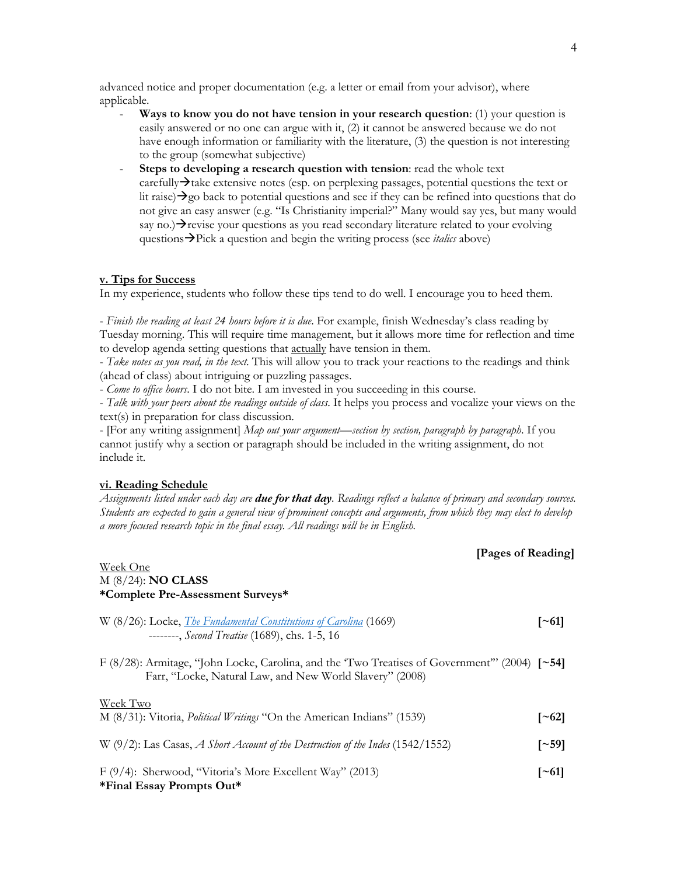advanced notice and proper documentation (e.g. a letter or email from your advisor), where applicable.

- **Ways to know you do not have tension in your research question**: (1) your question is easily answered or no one can argue with it, (2) it cannot be answered because we do not have enough information or familiarity with the literature, (3) the question is not interesting to the group (somewhat subjective)
- **Steps to developing a research question with tension:** read the whole text  $carefully\rightarrow$  take extensive notes (esp. on perplexing passages, potential questions the text or lit raise) $\rightarrow$ go back to potential questions and see if they can be refined into questions that do not give an easy answer (e.g. "Is Christianity imperial?" Many would say yes, but many would say no.) $\rightarrow$ revise your questions as you read secondary literature related to your evolving questions**>**Pick a question and begin the writing process (see *italics* above)

#### **v. Tips for Success**

In my experience, students who follow these tips tend to do well. I encourage you to heed them.

- *Finish the reading at least 24 hours before it is due*. For example, finish Wednesday's class reading by Tuesday morning. This will require time management, but it allows more time for reflection and time to develop agenda setting questions that actually have tension in them.

- *Take notes as you read, in the text*. This will allow you to track your reactions to the readings and think (ahead of class) about intriguing or puzzling passages.

- *Come to office hours*. I do not bite. I am invested in you succeeding in this course.

- *Talk with your peers about the readings outside of class*. It helps you process and vocalize your views on the text(s) in preparation for class discussion.

- [For any writing assignment] *Map out your argument—section by section, paragraph by paragraph*. If you cannot justify why a section or paragraph should be included in the writing assignment, do not include it.

#### **vi. Reading Schedule**

*Assignments listed under each day are due for that day. Readings reflect a balance of primary and secondary sources. Students are expected to gain a general view of prominent concepts and arguments, from which they may elect to develop a more focused research topic in the final essay. All readings will be in English.*

## **[Pages of Reading]**

## Week One M (8/24): **NO CLASS \*Complete Pre-Assessment Surveys\***

| W (8/26): Locke, <i>The Fundamental Constitutions of Carolina</i> (1669) |  |  |  |                                                       |  |  | $\lceil -61 \rceil$ |          |  |
|--------------------------------------------------------------------------|--|--|--|-------------------------------------------------------|--|--|---------------------|----------|--|
|                                                                          |  |  |  | --------, <i>Second Treatise</i> (1689), chs. 1-5, 16 |  |  |                     |          |  |
| $\sim$ $\sim$ $\sim$ $\sim$ $\sim$                                       |  |  |  |                                                       |  |  |                     | $\cdots$ |  |

F (8/28): Armitage, "John Locke, Carolina, and the 'Two Treatises of Government'" (2004) **[~54]** Farr, "Locke, Natural Law, and New World Slavery" (2008)

# Week Two M (8/31): Vitoria, *Political Writings* "On the American Indians" (1539) **[~62]** W (9/2): Las Casas, *A Short Account of the Destruction of the Indes* (1542/1552) **[~59]** F (9/4): Sherwood, "Vitoria's More Excellent Way" (2013) **[~61] \*Final Essay Prompts Out\***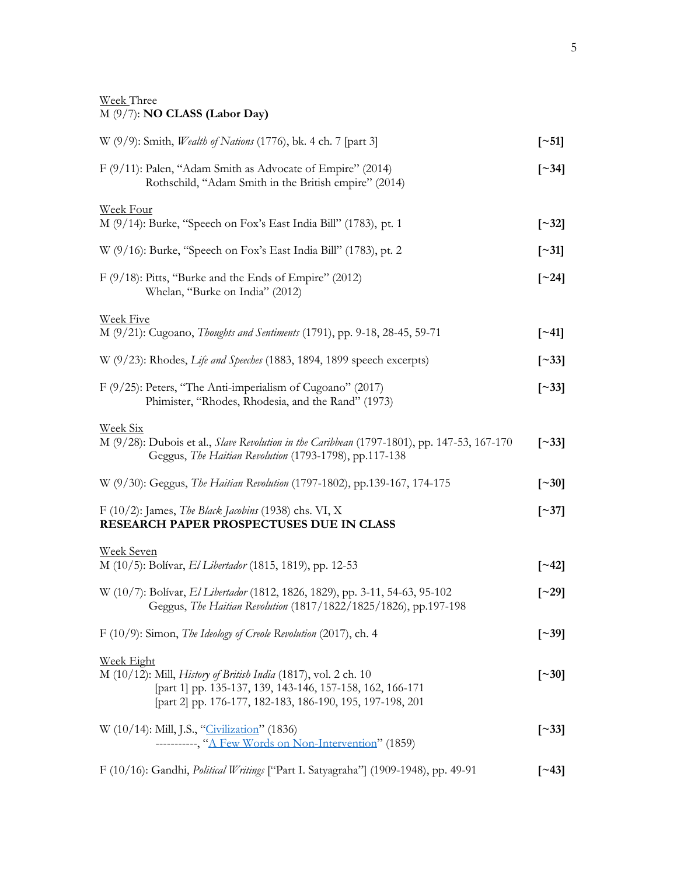## Week Three M (9/7): **NO CLASS (Labor Day)**

| W (9/9): Smith, <i>Wealth of Nations</i> (1776), bk. 4 ch. 7 [part 3]                                                                                                                            | $\lceil$ ~51]            |
|--------------------------------------------------------------------------------------------------------------------------------------------------------------------------------------------------|--------------------------|
| F (9/11): Palen, "Adam Smith as Advocate of Empire" (2014)<br>Rothschild, "Adam Smith in the British empire" (2014)                                                                              | $\left[\sim\right]$      |
| Week Four<br>M (9/14): Burke, "Speech on Fox's East India Bill" (1783), pt. 1                                                                                                                    | $\left[ \sim 32 \right]$ |
|                                                                                                                                                                                                  |                          |
| W (9/16): Burke, "Speech on Fox's East India Bill" (1783), pt. 2                                                                                                                                 | $\lceil 31 \rceil$       |
| F (9/18): Pitts, "Burke and the Ends of Empire" (2012)<br>Whelan, "Burke on India" (2012)                                                                                                        | $\lceil 24 \rceil$       |
| <b>Week Five</b>                                                                                                                                                                                 |                          |
| M (9/21): Cugoano, Thoughts and Sentiments (1791), pp. 9-18, 28-45, 59-71                                                                                                                        | $\lceil 241 \rceil$      |
| W (9/23): Rhodes, Life and Speeches (1883, 1894, 1899 speech excerpts)                                                                                                                           | $\left[\sim\right]$      |
| F $(9/25)$ : Peters, "The Anti-imperialism of Cugoano" (2017)<br>Phimister, "Rhodes, Rhodesia, and the Rand" (1973)                                                                              | $\left[\sim\right]$      |
| <b>Week Six</b>                                                                                                                                                                                  |                          |
| M (9/28): Dubois et al., Slave Revolution in the Caribbean (1797-1801), pp. 147-53, 167-170<br>Geggus, The Haitian Revolution (1793-1798), pp.117-138                                            | $\left[\sim\right]$      |
| W (9/30): Geggus, The Haitian Revolution (1797-1802), pp.139-167, 174-175                                                                                                                        | $\left[ \sim 30 \right]$ |
| F $(10/2)$ : James, The Black Jacobins (1938) chs. VI, X<br>RESEARCH PAPER PROSPECTUSES DUE IN CLASS                                                                                             | $\lceil 37 \rceil$       |
| <b>Week Seven</b>                                                                                                                                                                                |                          |
| M (10/5): Bolívar, El Libertador (1815, 1819), pp. 12-53                                                                                                                                         | $\lceil 242 \rceil$      |
| W (10/7): Bolívar, El Libertador (1812, 1826, 1829), pp. 3-11, 54-63, 95-102<br>Geggus, The Haitian Revolution (1817/1822/1825/1826), pp.197-198                                                 | $\lceil 29 \rceil$       |
| F (10/9): Simon, The Ideology of Creole Revolution (2017), ch. 4                                                                                                                                 | $\lceil$ ~39]            |
| <b>Week Eight</b>                                                                                                                                                                                |                          |
| M (10/12): Mill, <i>History of British India</i> (1817), vol. 2 ch. 10<br>[part 1] pp. 135-137, 139, 143-146, 157-158, 162, 166-171<br>[part 2] pp. 176-177, 182-183, 186-190, 195, 197-198, 201 | $\lceil$ ~30]            |
| W (10/14): Mill, J.S., "Civilization" (1836)<br>----------, "A Few Words on Non-Intervention" (1859)                                                                                             | $\left[ \sim 33 \right]$ |
| F (10/16): Gandhi, <i>Political Writings</i> ["Part I. Satyagraha"] (1909-1948), pp. 49-91                                                                                                       | $\lceil 243 \rceil$      |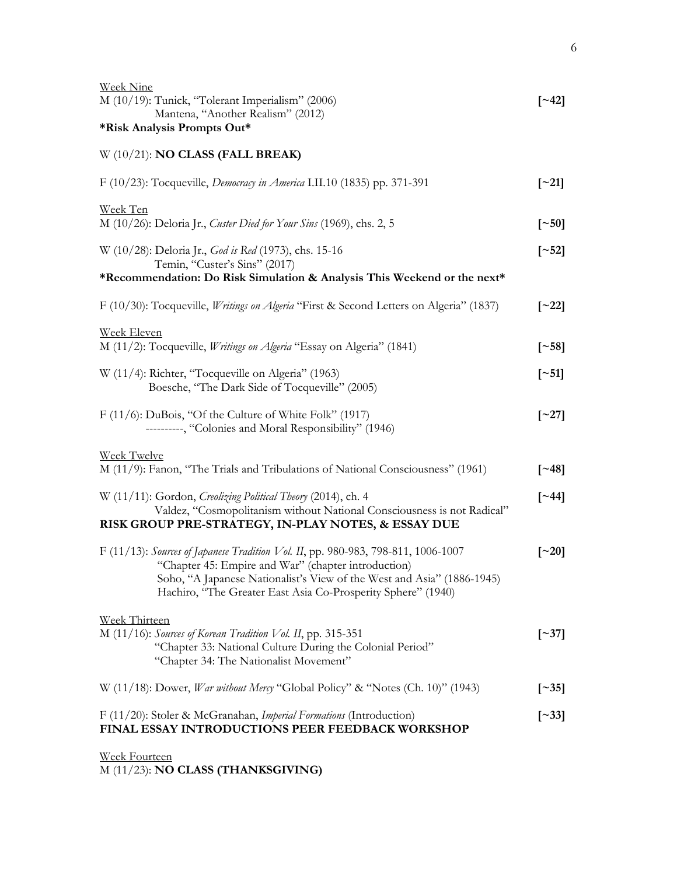| <b>Week Nine</b><br>M (10/19): Tunick, "Tolerant Imperialism" (2006)<br>Mantena, "Another Realism" (2012)<br>*Risk Analysis Prompts Out*                                                                                                                                           | $\lceil 242 \rceil$       |
|------------------------------------------------------------------------------------------------------------------------------------------------------------------------------------------------------------------------------------------------------------------------------------|---------------------------|
| $W(10/21)$ : NO CLASS (FALL BREAK)                                                                                                                                                                                                                                                 |                           |
| F (10/23): Tocqueville, <i>Democracy in America</i> I.II.10 (1835) pp. 371-391                                                                                                                                                                                                     | $\lceil 21 \rceil$        |
| Week Ten<br>M (10/26): Deloria Jr., Custer Died for Your Sins (1969), chs. 2, 5                                                                                                                                                                                                    | $\lceil -50 \rceil$       |
| W (10/28): Deloria Jr., God is Red (1973), chs. 15-16<br>Temin, "Custer's Sins" (2017)<br>*Recommendation: Do Risk Simulation & Analysis This Weekend or the next*                                                                                                                 | $\left[ \sim 52 \right]$  |
| F (10/30): Tocqueville, <i>Writings on Algeria</i> "First & Second Letters on Algeria" (1837)                                                                                                                                                                                      | $\lceil 22 \rceil$        |
| <b>Week Eleven</b><br>M (11/2): Tocqueville, <i>Writings on Algeria</i> "Essay on Algeria" (1841)                                                                                                                                                                                  | $\lceil 58 \rceil$        |
| W (11/4): Richter, "Tocqueville on Algeria" (1963)<br>Boesche, "The Dark Side of Tocqueville" (2005)                                                                                                                                                                               | $\lceil$ ~51]             |
| $F(11/6)$ : DuBois, "Of the Culture of White Folk" (1917)<br>---------, "Colonies and Moral Responsibility" (1946)                                                                                                                                                                 | $\lbrack \sim 27 \rbrack$ |
| <b>Week Twelve</b><br>M (11/9): Fanon, "The Trials and Tribulations of National Consciousness" (1961)                                                                                                                                                                              | $\lceil 248 \rceil$       |
| W (11/11): Gordon, Creolizing Political Theory (2014), ch. 4<br>Valdez, "Cosmopolitanism without National Consciousness is not Radical"<br>RISK GROUP PRE-STRATEGY, IN-PLAY NOTES, & ESSAY DUE                                                                                     | $\lceil 244 \rceil$       |
| F (11/13): Sources of Japanese Tradition Vol. II, pp. 980-983, 798-811, 1006-1007<br>"Chapter 45: Empire and War" (chapter introduction)<br>Soho, "A Japanese Nationalist's View of the West and Asia" (1886-1945)<br>Hachiro, "The Greater East Asia Co-Prosperity Sphere" (1940) | $\lbrack -20\rbrack$      |
| <b>Week Thirteen</b><br>M (11/16): Sources of Korean Tradition Vol. II, pp. 315-351<br>"Chapter 33: National Culture During the Colonial Period"<br>"Chapter 34: The Nationalist Movement"                                                                                         | $\left[\sim 37\right]$    |
| W (11/18): Dower, <i>War without Mercy</i> "Global Policy" & "Notes (Ch. 10)" (1943)                                                                                                                                                                                               | $\left[\sim\right]$       |
| F (11/20): Stoler & McGranahan, Imperial Formations (Introduction)<br>FINAL ESSAY INTRODUCTIONS PEER FEEDBACK WORKSHOP                                                                                                                                                             | $\left[\sim\right]$ 33]   |
| <b>Week Fourteen</b>                                                                                                                                                                                                                                                               |                           |

M (11/23): **NO CLASS (THANKSGIVING)**